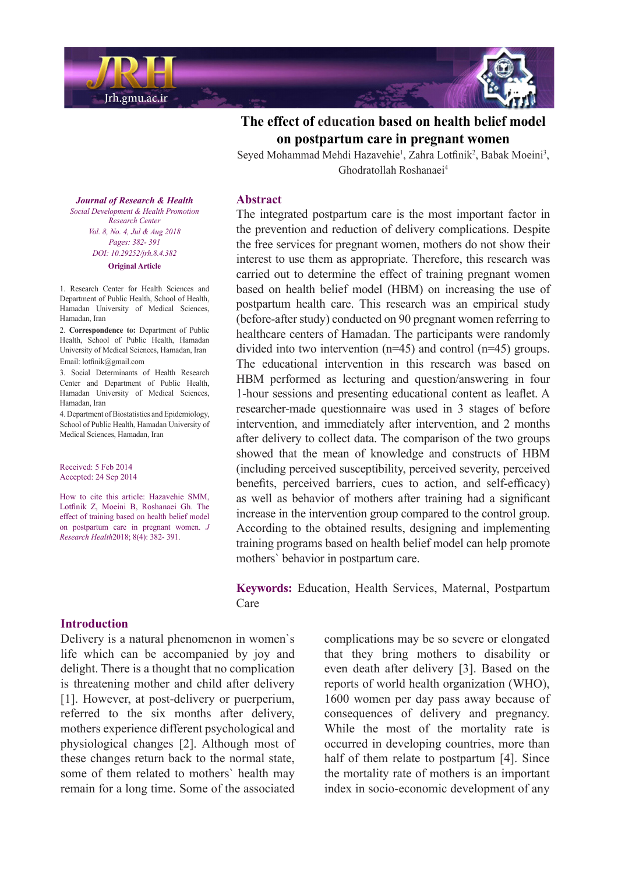

# **The effect of education based on health belief model women** pregnant women

Seyed Mohammad Mehdi Hazavehie<sup>1</sup>, Zahra Lotfinik<sup>2</sup>, Babak Moeini<sup>3</sup>, Ghodratollah Roshanaei<sup>4</sup>

**Journal of Research & Health** *Social Development & Health Promotion Center Research Vol. 8, No. 4, Jul & Aug 2018* Pages: 382- 391 *DOI*: 10.29252/jrh.8.4.382 **Original** Article

1. Research Center for Health Sciences and Department of Public Health, School of Health, Hamadan University of Medical Sciences, Hamadan Iran

2. Correspondence to: Department of Public Health, School of Public Health, Hamadan University of Medical Sciences, Hamadan, Iran Email:  $lotfinik@gmail.com$ 

3. Social Determinants of Health Research Center and Department of Public Health, Hamadan University of Medical Sciences, Hamadan Iran

4. Department of Biostatistics and Epidemiology, School of Public Health, Hamadan University of Medical Sciences, Hamadan, Iran

Received: 5 Feb 2014 Accepted: 24 Sep 2014

How to cite this article: Hazavehie SMM, Lotfinik Z, Moeini B, Roshanaei Gh. The effect of training based on health belief model on postpartum care in pregnant women. J Research Health 2018: 8(4): 382- 391.

#### **Introduction**

Delivery is a natural phenomenon in women's life which can be accompanied by joy and delight. There is a thought that no complication is threatening mother and child after delivery [1]. However, at post-delivery or puerperium. referred to the six months after delivery. mothers experience different psychological and physiological changes [2]. Although most of these changes return back to the normal state, some of them related to mothers' health may remain for a long time. Some of the associated

### **Abstract**

The integrated postpartum care is the most important factor in the prevention and reduction of delivery complications. Despite the free services for pregnant women, mothers do not show their interest to use them as appropriate. Therefore, this research was carried out to determine the effect of training pregnant women based on health belief model (HBM) on increasing the use of postpartum health care. This research was an empirical study (before-after study) conducted on 90 pregnant women referring to healthcare centers of Hamadan. The participants were randomly divided into two intervention ( $n=45$ ) and control ( $n=45$ ) groups. The educational intervention in this research was based on HBM performed as lecturing and question/answering in four 1-hour sessions and presenting educational content as leaflet. A researcher-made questionnaire was used in 3 stages of before intervention, and immediately after intervention, and 2 months after delivery to collect data. The comparison of the two groups showed that the mean of knowledge and constructs of HBM (including perceived susceptibility, perceived severity, perceived benefits, perceived barriers, cues to action, and self-efficacy) as well as behavior of mothers after training had a significant increase in the intervention group compared to the control group. According to the obtained results, designing and implementing training programs based on health belief model can help promote mothers' behavior in postpartum care.

Keywords: Education, Health Services, Maternal, Postpartum Care

> complications may be so severe or elongated that they bring mothers to disability or even death after delivery [3]. Based on the reports of world health organization (WHO), 1600 women per day pass away because of consequences of delivery and pregnancy. While the most of the mortality rate is occurred in developing countries, more than half of them relate to postpartum [4]. Since the mortality rate of mothers is an important index in socio-economic development of any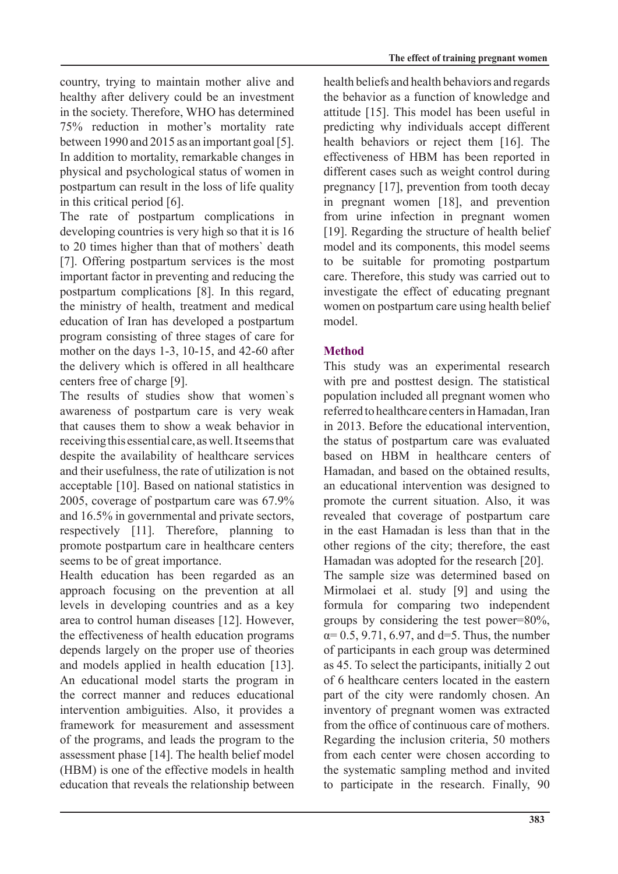country, trying to maintain mother alive and healthy after delivery could be an investment in the society. Therefore, WHO has determined  $75\%$  reduction in mother's mortality rate between 1990 and 2015 as an important goal  $[5]$ . In addition to mortality, remarkable changes in physical and psychological status of women in postpartum can result in the loss of life quality in this critical period  $[6]$ .

The rate of postpartum complications in developing countries is very high so that it is 16 to 20 times higher than that of mothers' death  $[7]$ . Offering postpartum services is the most important factor in preventing and reducing the postpartum complications  $[8]$ . In this regard, the ministry of health, treatment and medical education of Iran has developed a postpartum program consisting of three stages of care for mother on the days  $1-3$ ,  $10-15$ , and  $42-60$  after the delivery which is offered in all healthcare centers free of charge [9].

The results of studies show that women's awareness of postpartum care is very weak that causes them to show a weak behavior in receiving this essential care, as well. It seems that despite the availability of healthcare services and their usefulness, the rate of utilization is not acceptable [10]. Based on national statistics in 2005, coverage of postpartum care was  $67.9\%$ and  $16.5\%$  in governmental and private sectors. respectively  $[11]$ . Therefore, planning to promote postpartum care in healthcare centers seems to be of great importance.

Health education has been regarded as an approach focusing on the prevention at all levels in developing countries and as a key area to control human diseases [12]. However. the effectiveness of health education programs depends largely on the proper use of theories and models applied in health education [13]. An educational model starts the program in the correct manner and reduces educational intervention ambiguities. Also, it provides a framework for measurement and assessment of the programs, and leads the program to the assessment phase [14]. The health belief model  $(HBM)$  is one of the effective models in health education that reveals the relationship between health beliefs and health behaviors and regards the behavior as a function of knowledge and attitude [15]. This model has been useful in predicting why individuals accept different health behaviors or reject them [16]. The effectiveness of HBM has been reported in different cases such as weight control during pregnancy  $[17]$ , prevention from tooth decay in pregnant women  $[18]$ , and prevention from urine infection in pregnant women  $[19]$ . Regarding the structure of health belief model and its components, this model seems to be suitable for promoting postpartum care. Therefore, this study was carried out to investigate the effect of educating pregnant women on postpartum care using health belief .model

### **Method**

This study was an experimental research with pre and posttest design. The statistical population included all pregnant women who referred to healthcare centers in Hamadan, Iran in 2013. Before the educational intervention, the status of postpartum care was evaluated based on HBM in healthcare centers of Hamadan, and based on the obtained results, an educational intervention was designed to promote the current situation. Also, it was revealed that coverage of postpartum care in the east Hamadan is less than that in the other regions of the city; therefore, the east Hamadan was adopted for the research [20].

The sample size was determined based on Mirmolaei et al. study  $[9]$  and using the formula for comparing two independent groups by considering the test power= $80\%$ ,  $\alpha$ = 0.5, 9.71, 6.97, and d=5. Thus, the number of participants in each group was determined as  $45$ . To select the participants, initially 2 out of 6 healthcare centers located in the eastern part of the city were randomly chosen. An inventory of pregnant women was extracted from the office of continuous care of mothers. Regarding the inclusion criteria, 50 mothers from each center were chosen according to the systematic sampling method and invited to participate in the research. Finally, 90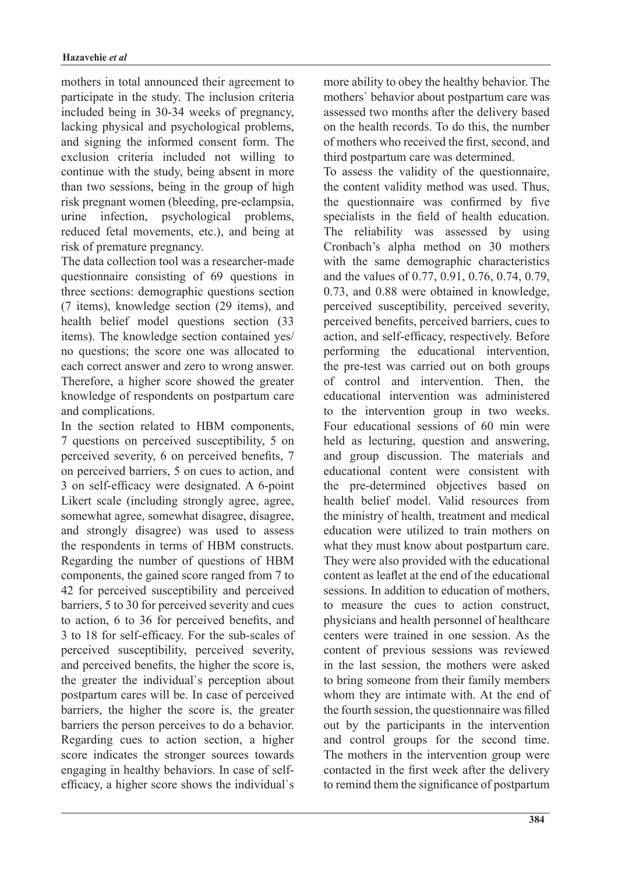mothers in total announced their agreement to participate in the study. The inclusion criteria included being in 30-34 weeks of pregnancy, lacking physical and psychological problems, and signing the informed consent form. The exclusion criteria included not willing to continue with the study, being absent in more than two sessions, being in the group of high risk pregnant women (bleeding, pre-eclampsia, urine infection, psychological problems, reduced fetal movements, etc.), and being at risk of premature pregnancy.

The data collection tool was a researcher-made question aircreducible consisting of 69 questions in three sections: demographic questions section  $(7$  items), knowledge section  $(29$  items), and health belief model questions section (33) items). The knowledge section contained yes/ no questions; the score one was allocated to each correct answer and zero to wrong answer. Therefore, a higher score showed the greater knowledge of respondents on postpartum care and complications.

In the section related to HBM components, 7 questions on perceived susceptibility, 5 on perceived severity, 6 on perceived benefits, 7 on perceived barriers, 5 on cues to action, and 3 on self-efficacy were designated. A 6-point Likert scale (including strongly agree, agree, somewhat agree, somewhat disagree, disagree, and strongly disagree) was used to assess the respondents in terms of HBM constructs. Regarding the number of questions of HBM components, the gained score ranged from 7 to 42 for perceived susceptibility and perceived barriers, 5 to 30 for perceived severity and cues to action, 6 to 36 for perceived benefits, and 3 to 18 for self-efficacy. For the sub-scales of perceived susceptibility, perceived severity, and perceived benefits, the higher the score is, the greater the individual's perception about postpartum cares will be. In case of perceived barriers, the higher the score is, the greater barriers the person perceives to do a behavior. Regarding cues to action section, a higher score indicates the stronger sources towards efficacy, a higher score shows the individual's engaging in healthy behaviors. In case of selfmore ability to obey the healthy behavior. The mothers' behavior about postpartum care was assessed two months after the delivery based on the health records. To do this, the number of mothers who received the first, second, and third postpartum care was determined.

To assess the validity of the questionnaire, the content validity method was used. Thus, the questionnaire was confirmed by five specialists in the field of health education. The reliability was assessed by using Cronbach's alpha method on 30 mothers with the same demographic characteristics and the values of  $0.77, 0.91, 0.76, 0.74, 0.79$ ,  $0.73$ , and  $0.88$  were obtained in knowledge, perceived susceptibility, perceived severity, perceived benefits, perceived barriers, cues to action, and self-efficacy, respectively. Before performing the educational intervention, the pre-test was carried out on both groups of control and intervention. Then the educational intervention was administered to the intervention group in two weeks. Four educational sessions of 60 min were held as lecturing, question and answering, and group discussion. The materials and educational content were consistent with the pre-determined objectives based on health belief model. Valid resources from the ministry of health, treatment and medical education were utilized to train mothers on what they must know about postpartum care. They were also provided with the educational content as leaflet at the end of the educational sessions. In addition to education of mothers. to measure the cues to action construct, physicians and health personnel of healthcare centers were trained in one session. As the content of previous sessions was reviewed in the last session, the mothers were asked to bring someone from their family members whom they are intimate with. At the end of the fourth session, the questionnaire was filled out by the participants in the intervention and control groups for the second time. The mothers in the intervention group were contacted in the first week after the delivery to remind them the significance of postpartum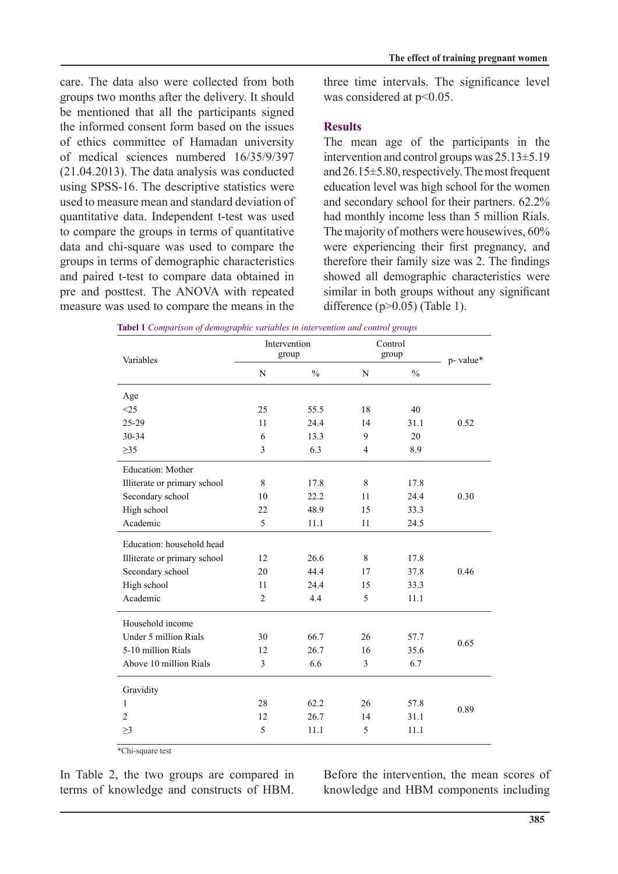care. The data also were collected from both groups two months after the delivery. It should be mentioned that all the participants signed the informed consent form based on the issues of ethics committee of Hamadan university of medical sciences numbered  $16/35/9/397$  $(21.04.2013)$ . The data analysis was conducted using SPSS-16. The descriptive statistics were used to measure mean and standard deviation of quantitative data. Independent t-test was used to compare the groups in terms of quantitative data and chi-square was used to compare the groups in terms of demographic characteristics and paired t-test to compare data obtained in pre and posttest. The ANOVA with repeated measure was used to compare the means in the

three time intervals. The significance level was considered at  $p<0.05$ .

## **Results**

The mean age of the participants in the intervention and control groups was  $25.13 \pm 5.19$ and  $26.15\pm5.80$ , respectively. The most frequent  $education level was high school for the women$ and secondary school for their partners.  $62.2\%$ had monthly income less than 5 million Rials. The majority of mothers were housewives, 60% were experiencing their first pregnancy, and therefore their family size was  $2$ . The findings showed all demographic characteristics were similar in both groups without any significant difference  $(p>0.05)$  (Table 1).

| Variables                    | Intervention<br>group |               | Control<br>group |               | p-value* |
|------------------------------|-----------------------|---------------|------------------|---------------|----------|
|                              | ${\bf N}$             | $\frac{0}{0}$ | N                | $\frac{0}{0}$ |          |
| Age                          |                       |               |                  |               |          |
| <25                          | 25                    | 55.5          | 18               | 40            |          |
| 25-29                        | 11                    | 24.4          | 14               | 31.1          | 0.52     |
| 30-34                        | 6                     | 13.3          | 9                | 20            |          |
| $\geq$ 35                    | 3                     | 6.3           | $\overline{4}$   | 8.9           |          |
| Education: Mother            |                       |               |                  |               |          |
| Illiterate or primary school | 8                     | 17.8          | 8                | 17.8          |          |
| Secondary school             | 10                    | 22.2          | 11               | 24.4          | 0.30     |
| High school                  | 22                    | 48.9          | 15               | 33.3          |          |
| Academic                     | 5                     | 11.1          | 11               | 24.5          |          |
| Education: household head    |                       |               |                  |               |          |
| Illiterate or primary school | 12                    | 26.6          | 8                | 17.8          |          |
| Secondary school             | 20                    | 44.4          | 17               | 37.8          | 0.46     |
| High school                  | 11                    | 24.4          | 15               | 33.3          |          |
| Academic                     | $\overline{2}$        | 4.4           | 5                | 11.1          |          |
| Household income             |                       |               |                  |               |          |
| Under 5 million Rials        | 30                    | 66.7          | 26               | 57.7          | 0.65     |
| 5-10 million Rials           | 12                    | 26.7          | 16               | 35.6          |          |
| Above 10 million Rials       | 3                     | 6.6           | 3                | 6.7           |          |
| Gravidity                    |                       |               |                  |               |          |
| 1                            | 28                    | 62.2          | 26               | 57.8          | 0.89     |
| 2                            | 12                    | 26.7          | 14               | 31.1          |          |
| $\geq$ 3                     | 5                     | 11.1          | 5                | 11.1          |          |

*groups 1 Comparison of demographic variables in intervention and control groups* 

 $\sqrt{\text{Chi}}$ -square test

In Table 2, the two groups are compared in terms of knowledge and constructs of HBM.

Before the intervention, the mean scores of knowledge and HBM components including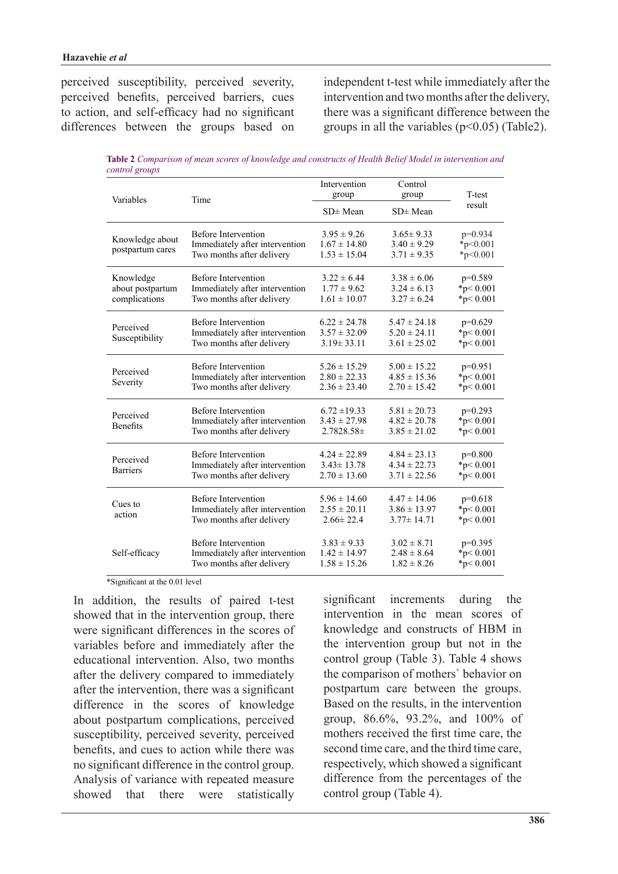perceived susceptibility, perceived severity, perceived benefits, perceived barriers, cues to action, and self-efficacy had no significant differences between the groups based on independent t-test while immediately after the intervention and two months after the delivery, there was a significant difference between the groups in all the variables  $(p<0.05)$  (Table2).

*Table 2 Comparison of mean scores of knowledge and constructs of Health Belief Model in intervention and control* groups

| Variables                                      | Time                                                                                      | Intervention<br>group<br>$SD \pm Mean$                   | Control<br>group<br>$SD \pm Mean$                        | T-test<br>result                              |
|------------------------------------------------|-------------------------------------------------------------------------------------------|----------------------------------------------------------|----------------------------------------------------------|-----------------------------------------------|
| Knowledge about<br>postpartum cares            | <b>Before Intervention</b><br>Immediately after intervention<br>Two months after delivery | $3.95 \pm 9.26$<br>$1.67 \pm 14.80$<br>$1.53 \pm 15.04$  | $3.65 \pm 9.33$<br>$3.40 \pm 9.29$<br>$3.71 \pm 9.35$    | $p=0.934$<br>$*_{p<0.001}$<br>$*_{p<0.001}$   |
| Knowledge<br>about postpartum<br>complications | <b>Before Intervention</b><br>Immediately after intervention<br>Two months after delivery | $3.22 \pm 6.44$<br>$1.77 \pm 9.62$<br>$1.61 \pm 10.07$   | $3.38 \pm 6.06$<br>$3.24 \pm 6.13$<br>$3.27 \pm 6.24$    | $p=0.589$<br>* $p < 0.001$<br>* $p < 0.001$   |
| Perceived<br>Susceptibility                    | <b>Before Intervention</b><br>Immediately after intervention<br>Two months after delivery | $6.22 \pm 24.78$<br>$3.57 \pm 32.09$<br>$3.19 \pm 33.11$ | $5.47 \pm 24.18$<br>$5.20 \pm 24.11$<br>$3.61 \pm 25.02$ | $p=0.629$<br>$*_{p}< 0.001$<br>${}^*p<0.001$  |
| Perceived<br>Severity                          | <b>Before Intervention</b><br>Immediately after intervention<br>Two months after delivery | $5.26 \pm 15.29$<br>$2.80 \pm 22.33$<br>$2.36 \pm 23.40$ | $5.00 \pm 15.22$<br>$4.85 \pm 15.36$<br>$2.70 \pm 15.42$ | $p=0.951$<br>${}^{*}p<0.001$<br>* $p < 0.001$ |
| Perceived<br><b>Benefits</b>                   | <b>Before Intervention</b><br>Immediately after intervention<br>Two months after delivery | $6.72 \pm 19.33$<br>$3.43 \pm 27.98$<br>$2.7828.58\pm$   | $5.81 \pm 20.73$<br>$4.82 \pm 20.78$<br>$3.85 \pm 21.02$ | $p=0.293$<br>* $p < 0.001$<br>* $p < 0.001$   |
| Perceived<br><b>Barriers</b>                   | <b>Before Intervention</b><br>Immediately after intervention<br>Two months after delivery | $4.24 \pm 22.89$<br>$3.43 \pm 13.78$<br>$2.70 \pm 13.60$ | $4.84 \pm 23.13$<br>$4.34 \pm 22.73$<br>$3.71 \pm 22.56$ | $p=0.800$<br>* $p < 0.001$<br>* $p < 0.001$   |
| Cues to<br>action                              | <b>Before Intervention</b><br>Immediately after intervention<br>Two months after delivery | $5.96 \pm 14.60$<br>$2.55 \pm 20.11$<br>$2.66 \pm 22.4$  | $4.47 \pm 14.06$<br>$3.86 \pm 13.97$<br>$3.77 \pm 14.71$ | $p=0.618$<br>$*_{p}< 0.001$<br>$*_{p}< 0.001$ |
| Self-efficacy                                  | <b>Before Intervention</b><br>Immediately after intervention<br>Two months after delivery | $3.83 \pm 9.33$<br>$1.42 \pm 14.97$<br>$1.58 \pm 15.26$  | $3.02 \pm 8.71$<br>$2.48 \pm 8.64$<br>$1.82 \pm 8.26$    | $p=0.395$<br>$*p < 0.001$<br>$*_{p}< 0.001$   |

 $*$ Significant at the 0.01 level

In addition, the results of paired t-test showed that in the intervention group, there were significant differences in the scores of variables before and immediately after the educational intervention. Also, two months after the delivery compared to immediately after the intervention, there was a significant difference in the scores of knowledge about postpartum complications, perceived susceptibility, perceived severity, perceived benefits and cues to action while there was no significant difference in the control group. Analysis of variance with repeated measure showed that there were statistically

significant increments during the intervention in the mean scores of knowledge and constructs of HBM in the intervention group but not in the control group (Table 3). Table  $4$  shows the comparison of mothers' behavior on postpartum care between the groups. Based on the results, in the intervention group,  $86.6\%$ ,  $93.2\%$ , and  $100\%$  of mothers received the first time care, the second time care, and the third time care, respectively, which showed a significant difference from the percentages of the control group (Table 4).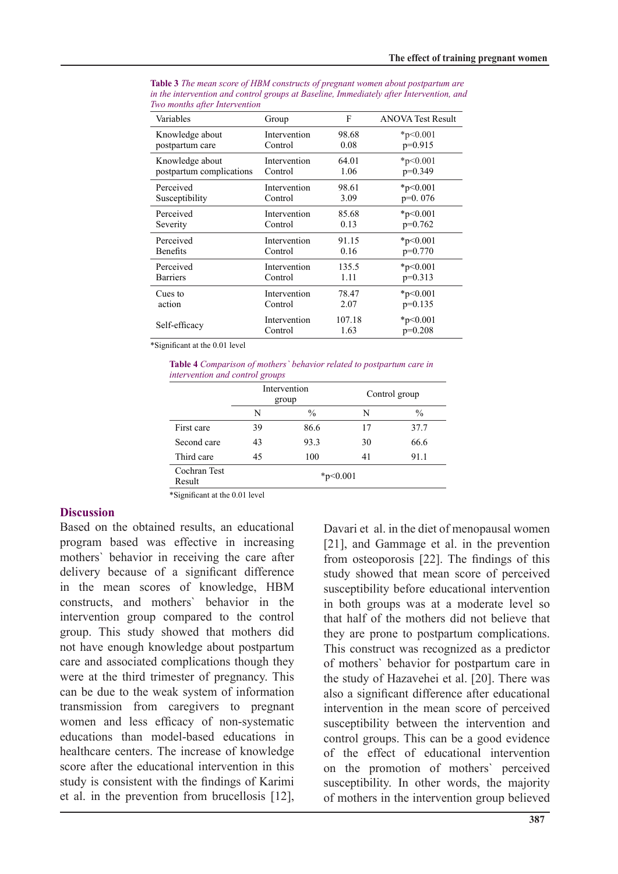| Variables                | Group        | F      | <b>ANOVA Test Result</b> |
|--------------------------|--------------|--------|--------------------------|
| Knowledge about          | Intervention | 98.68  | * $p<0.001$              |
| postpartum care          | Control      | 0.08   | $p=0.915$                |
| Knowledge about          | Intervention | 64.01  | *p<0.001                 |
| postpartum complications | Control      | 1.06   | $p=0.349$                |
| Perceived                | Intervention | 98.61  | * $p<0.001$              |
| Susceptibility           | Control      | 3.09   | $p=0.076$                |
| Perceived                | Intervention | 85.68  | $*_{p<0.001}$            |
| Severity                 | Control      | 0.13   | $p=0.762$                |
| Perceived                | Intervention | 91.15  | $*_{p<0.001}$            |
| <b>Benefits</b>          | Control      | 0.16   | $p=0.770$                |
| Perceived                | Intervention | 135.5  | $*_{p<0.001}$            |
| <b>Barriers</b>          | Control      | 1.11   | $p=0.313$                |
| Cues to                  | Intervention | 78.47  | $*_{p<0.001}$            |
| action                   | Control      | 2.07   | $p=0.135$                |
| Self-efficacy            | Intervention | 107.18 | $*_{p<0.001}$            |
|                          | Control      | 1.63   | $p=0.208$                |

**Table 3** The mean score of HBM constructs of pregnant women about postpartum are in the intervention and control groups at Baseline, Immediately after Intervention, and *Two months after Intervention* 

 $*$ Significant at the 0.01 level

*Table 4 Comparison of mothers' behavior related to postpartum care in intervention* and control groups

|                        | Intervention<br>group |               | Control group |               |
|------------------------|-----------------------|---------------|---------------|---------------|
|                        | N                     | $\frac{0}{0}$ | N             | $\frac{0}{0}$ |
| First care             | 39                    | 86.6          | 17            | 37.7          |
| Second care            | 43                    | 93.3          | 30            | 66.6          |
| Third care             | 45                    | 100           | 41            | 91.1          |
| Cochran Test<br>Result | $*_{p<0.001}$         |               |               |               |

\*Significant at the 0.01 level

#### **Discussion**

Based on the obtained results, an educational program based was effective in increasing mothers' behavior in receiving the care after delivery because of a significant difference in the mean scores of knowledge, HBM constructs, and mothers' behavior in the intervention group compared to the control group. This study showed that mothers did not have enough knowledge about postpartum care and associated complications though they were at the third trimester of pregnancy. This can be due to the weak system of information transmission from caregivers to pregnant women and less efficacy of non-systematic educations than model-based educations in healthcare centers. The increase of knowledge score after the educational intervention in this study is consistent with the findings of Karimi et al. in the prevention from brucellosis  $[12]$ , Davari et al. in the diet of menopausal women  $[21]$ , and Gammage et al. in the prevention from osteoporosis  $[22]$ . The findings of this study showed that mean score of perceived susceptibility before educational intervention in both groups was at a moderate level so that half of the mothers did not believe that they are prone to postpartum complications. This construct was recognized as a predictor of mothers' behavior for postpartum care in the study of Hazavehei et al. [20]. There was also a significant difference after educational intervention in the mean score of perceived susceptibility between the intervention and control groups. This can be a good evidence of the effect of educational intervention on the promotion of mothers' perceived susceptibility. In other words, the majority of mothers in the intervention group believed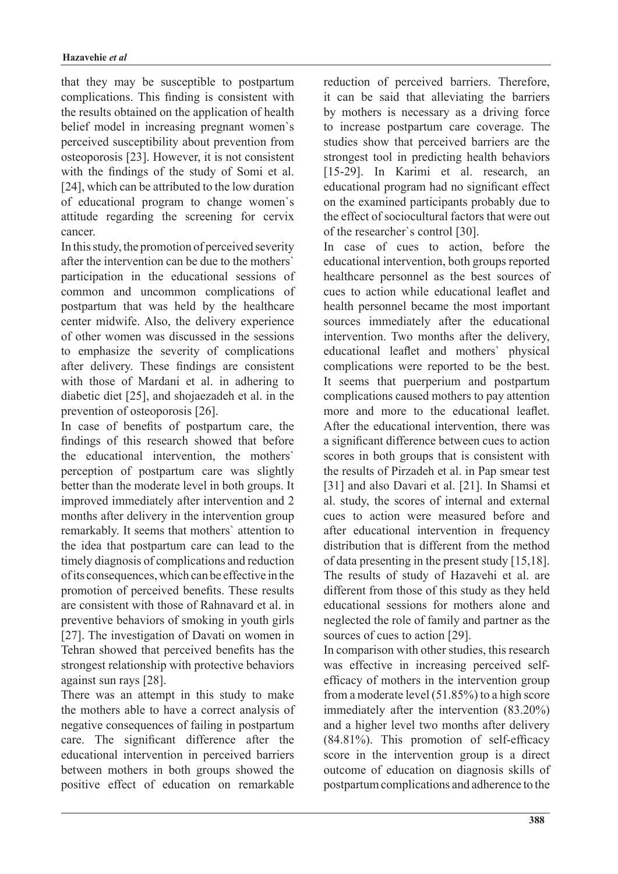that they may be susceptible to postpartum complications. This finding is consistent with the results obtained on the application of health belief model in increasing pregnant women's perceived susceptibility about prevention from  $osteoporosis [23]$ . However, it is not consistent with the findings of the study of Somi et al. [24], which can be attributed to the low duration of educational program to change women's attitude regarding the screening for cervix .cancer

In this study, the promotion of perceived severity after the intervention can be due to the mothers' participation in the educational sessions of common and uncommon complications of postpartum that was held by the healthcare center midwife. Also, the delivery experience of other women was discussed in the sessions to emphasize the severity of complications after delivery. These findings are consistent with those of Mardani et al. in adhering to diabetic diet  $[25]$ , and shojaezadeh et al. in the prevention of osteoporosis  $[26]$ .

In case of benefits of postpartum care, the findings of this research showed that before the educational intervention, the mothers' perception of postpartum care was slightly better than the moderate level in both groups. It improved immediately after intervention and 2 months after delivery in the intervention group remarkably. It seems that mothers' attention to the idea that postpartum care can lead to the timely diagnosis of complications and reduction of its consequences, which can be effective in the promotion of perceived benefits. These results are consistent with those of Rahnavard et al. in preventive behaviors of smoking in vouth girls [27]. The investigation of Davati on women in Tehran showed that perceived benefits has the strongest relationship with protective behaviors against sun rays  $[28]$ .

There was an attempt in this study to make the mothers able to have a correct analysis of negative consequences of failing in postpartum care. The significant difference after the educational intervention in perceived barriers between mothers in both groups showed the positive effect of education on remarkable reduction of perceived barriers. Therefore, it can be said that alleviating the barriers by mothers is necessary as a driving force to increase postpartum care coverage. The studies show that perceived barriers are the strongest tool in predicting health behaviors [15-29]. In Karimi et al. research, an educational program had no significant effect on the examined participants probably due to the effect of sociocultural factors that were out of the researcher's control [30].

In case of cues to action, before the educational intervention, both groups reported healthcare personnel as the best sources of cues to action while educational leaflet and health personnel became the most important sources immediately after the educational intervention. Two months after the delivery, educational leaflet and mothers' physical complications were reported to be the best. It seems that puerperium and postpartum complications caused mothers to pay attention more and more to the educational leaflet After the educational intervention, there was a significant difference between cues to action scores in both groups that is consistent with the results of Pirzadeh et al. in Pap smear test [31] and also Davari et al. [21]. In Shamsi et al. study, the scores of internal and external cues to action were measured before and after educational intervention in frequency distribution that is different from the method of data presenting in the present study  $[15,18]$ . The results of study of Hazavehi et al. are different from those of this study as they held educational sessions for mothers alone and neglected the role of family and partner as the sources of cues to action [29].

In comparison with other studies, this research efficacy of mothers in the intervention group was effective in increasing perceived selffrom a moderate level  $(51.85%)$  to a high score immediately after the intervention  $(83.20\%)$ and a higher level two months after delivery  $(84.81\%)$ . This promotion of self-efficacy score in the intervention group is a direct outcome of education on diagnosis skills of postpartum complications and adherence to the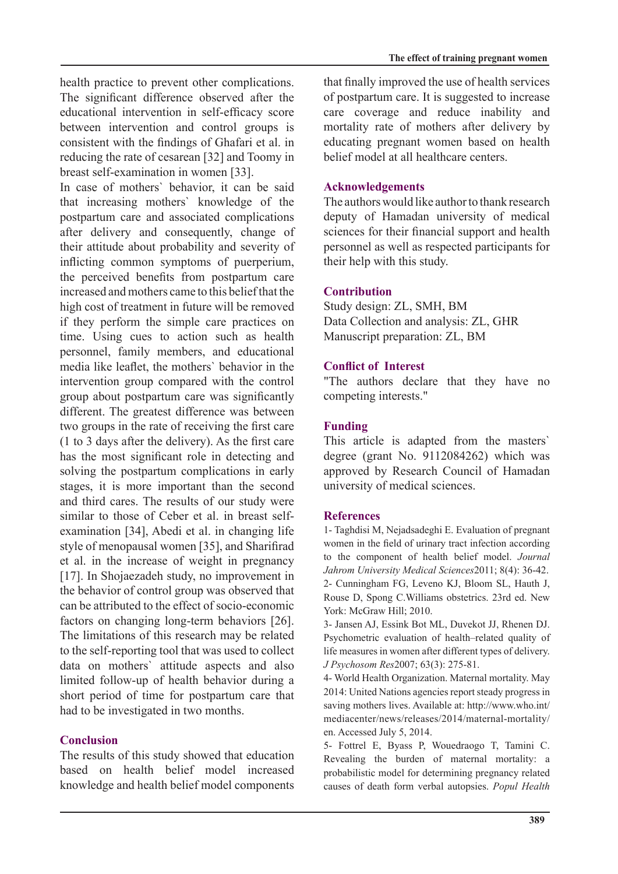health practice to prevent other complications. The significant difference observed after the educational intervention in self-efficacy score between intervention and control groups is consistent with the findings of Ghafari et al. in reducing the rate of cesarean [32] and Toomy in breast self-examination in women [33].

In case of mothers' behavior, it can be said that increasing mothers' knowledge of the postpartum care and associated complications after delivery and consequently, change of their attitude about probability and severity of inflicting common symptoms of puerperium, the perceived benefits from postpartum care increased and mothers came to this belief that the high cost of treatment in future will be removed if they perform the simple care practices on time. Using cues to action such as health personnel, family members, and educational media like leaflet, the mothers' behavior in the intervention group compared with the control group about postpartum care was significantly different. The greatest difference was between two groups in the rate of receiving the first care  $(1 to 3 days after the delivery)$ . As the first care has the most significant role in detecting and solving the postpartum complications in early stages, it is more important than the second and third cares. The results of our study were examination [34], Abedi et al. in changing life similar to those of Ceber et al. in breast selfstyle of menopausal women [35], and Sharifirad et al. in the increase of weight in pregnancy [17]. In Shojaezadeh study, no improvement in the behavior of control group was observed that can be attributed to the effect of socio-economic factors on changing long-term behaviors [26]. The limitations of this research may be related to the self-reporting tool that was used to collect data on mothers' attitude aspects and also limited follow-up of health behavior during a short period of time for postpartum care that had to be investigated in two months.

### **Conclusion**

The results of this study showed that education based on health belief model increased knowledge and health belief model components

that finally improved the use of health services of postpartum care. It is suggested to increase care coverage and reduce inability and mortality rate of mothers after delivery by educating pregnant women based on health helief model at all healthcare centers

#### **Acknowledgements**

The authors would like author to thank research deputy of Hamadan university of medical sciences for their financial support and health personnel as well as respected participants for their help with this study.

#### **Contribution**

Study design: ZL, SMH, BM Data Collection and analysis: ZL, GHR Manuscript preparation: ZL, BM

#### **Conflict of Interest**

"The authors declare that they have no competing interests."

#### **Funding**

This article is adapted from the masters' degree (grant No.  $9112084262$ ) which was approved by Research Council of Hamadan university of medical sciences.

#### **References**

1- Taghdisi M, Nejadsadeghi E. Evaluation of pregnant women in the field of urinary tract infection according to the component of health belief model. Journal Jahrom University Medical Sciences 2011; 8(4): 36-42. 2- Cunningham FG, Leveno KJ, Bloom SL, Hauth J, Rouse D, Spong C. Williams obstetrics. 23rd ed. New York: McGraw Hill; 2010.

3- Jansen AJ, Essink Bot ML, Duvekot JJ, Rhenen DJ. Psychometric evaluation of health-related quality of life measures in women after different types of delivery. J Psychosom Res 2007; 63(3): 275-81.

4- World Health Organization. Maternal mortality. May 2014: United Nations agencies report steady progress in saving mothers lives. Available at: http://www.who.int/ mediacenter/news/releases/2014/maternal-mortality/ en. Accessed July 5, 2014.

5- Fottrel E, Byass P, Wouedraogo T, Tamini C. Revealing the burden of maternal mortality: a probabilistic model for determining pregnancy related causes of death form verbal autopsies. Popul Health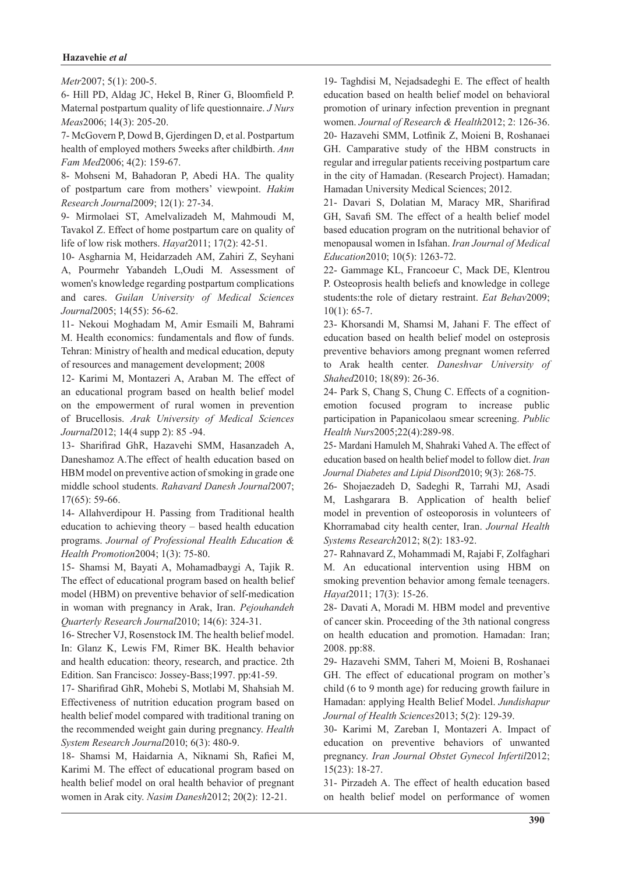#### **Hazavehie** et al

Metr<sub>2007</sub>; 5(1): 200-5.

6- Hill PD, Aldag JC, Hekel B, Riner G, Bloomfield P. Maternal postpartum quality of life questionnaire. *J Nurs* Meas2006; 14(3): 205-20.

7- McGovern P, Dowd B, Gjerdingen D, et al. Postpartum *health of employed mothers 5 weeks after childbirth. Ann* Fam Med 2006; 4(2): 159-67.

8- Mohseni M, Bahadoran P, Abedi HA. The quality of postpartum care from mothers' viewpoint. Hakim Research Journal 2009; 12(1): 27-34.

9- Mirmolaei ST, Amelvalizadeh M, Mahmoudi M, Tavakol Z. Effect of home postpartum care on quality of life of low risk mothers. *Hayat* 2011; 17(2): 42-51.

10- Asgharnia M, Heidarzadeh AM, Zahiri Z, Seyhani A, Pourmehr Yabandeh L, Oudi M. Assessment of women's knowledge regarding postpartum complications and cares. Guilan University of Medical Sciences Journal2005; 14(55): 56-62.

11- Nekoui Moghadam M, Amir Esmaili M, Bahrami M. Health economics: fundamentals and flow of funds. Tehran: Ministry of health and medical education, deputy of resources and management development; 2008

12- Karimi M, Montazeri A, Araban M. The effect of an educational program based on health belief model on the empowerment of rural women in prevention of Brucellosis. Arak University of Medical Sciences Journal2012; 14(4 supp 2): 85 -94.

13- Sharifirad GhR, Hazavehi SMM, Hasanzadeh A, Daneshamoz A.The effect of health education based on HBM model on preventive action of smoking in grade one middle school students. Rahavard Danesh Journal 2007;  $17(65): 59-66.$ 

14- Allahverdipour H. Passing from Traditional health education to achieving theory – based health education programs. Journal of Professional Health Education & Health Promotion 2004; 1(3): 75-80.

15- Shamsi M, Bayati A, Mohamadbaygi A, Tajik R. The effect of educational program based on health belief model (HBM) on preventive behavior of self-medication in woman with pregnancy in Arak, Iran. Pejouhandeh Quarterly Research Journal 2010; 14(6): 324-31.

16- Strecher VJ, Rosenstock IM. The health belief model. In: Glanz K, Lewis FM, Rimer BK. Health behavior and health education: theory, research, and practice. 2th Edition. San Francisco: Jossey-Bass; 1997. pp: 41-59.

17- Sharifirad GhR, Mohebi S, Motlabi M, Shahsiah M. Effectiveness of nutrition education program based on health belief model compared with traditional traning on the recommended weight gain during pregnancy. *Health* System Research Journal 2010; 6(3): 480-9.

18- Shamsi M, Haidarnia A, Niknami Sh, Rafiei M, Karimi M. The effect of educational program based on health belief model on oral health behavior of pregnant women in Arak city. Nasim Danesh 2012; 20(2): 12-21.

19- Taghdisi M, Nejadsadeghi E. The effect of health education based on health belief model on behavioral promotion of urinary infection prevention in pregnant women. Journal of Research & Health 2012; 2: 126-36. 20- Hazavehi SMM, Lotfinik Z, Moieni B, Roshanaei GH. Camparative study of the HBM constructs in regular and irregular patients receiving postpartum care in the city of Hamadan. (Research Project). Hamadan; Hamadan University Medical Sciences; 2012.

21- Davari S, Dolatian M, Maracy MR, Sharifirad GH, Savafi SM. The effect of a health belief model based education program on the nutritional behavior of menopausal women in Isfahan. *Iran Journal of Medical* Education<sub>2010</sub>; 10(5): 1263-72.

22- Gammage KL, Francoeur C, Mack DE, Klentrou P. Osteoprosis health beliefs and knowledge in college students: the role of dietary restraint. Eat Behav2009;  $10(1): 65-7.$ 

23- Khorsandi M, Shamsi M, Jahani F. The effect of education based on health belief model on osteprosis preventive behaviors among pregnant women referred to Arak health center. Daneshvar University of Shahed<sup>2010</sup>; 18(89): 26-36.

24- Park S, Chang S, Chung C. Effects of a cognition-<br>emotion focused program to increase public participation in Papanicolaou smear screening. *Public* Health Nurs 2005; 22(4): 289-98.

25- Mardani Hamuleh M, Shahraki Vahed A. The effect of education based on health belief model to follow diet. *Iran* Journal Diabetes and Lipid Disord 2010; 9(3): 268-75.

26- Shojaezadeh D, Sadeghi R, Tarrahi MJ, Asadi M, Lashgarara B. Application of health belief model in prevention of osteoporosis in volunteers of Khorramabad city health center, Iran. Journal Health Systems Research 2012; 8(2): 183-92.

27- Rahnavard Z, Mohammadi M, Rajabi F, Zolfaghari M. An educational intervention using HBM on smoking prevention behavior among female teenagers. Hayat2011; 17(3): 15-26.

28- Davati A, Moradi M. HBM model and preventive of cancer skin. Proceeding of the 3th national congress on health education and promotion. Hamadan: Iran; 2008. pp:88.

29- Hazavehi SMM, Taheri M, Moieni B, Roshanaei GH. The effect of educational program on mother's child  $(6 \text{ to } 9 \text{ month age})$  for reducing growth failure in *Hamadan: applying Health Belief Model. Jundishapur* Journal of Health Sciences 2013; 5(2): 129-39.

30- Karimi M, Zareban I, Montazeri A. Impact of education on preventive behaviors of unwanted pregnancy. Iran Journal Obstet Gynecol Infertil 2012;  $15(23): 18-27.$ 

31- Pirzadeh A. The effect of health education based on health belief model on performance of women